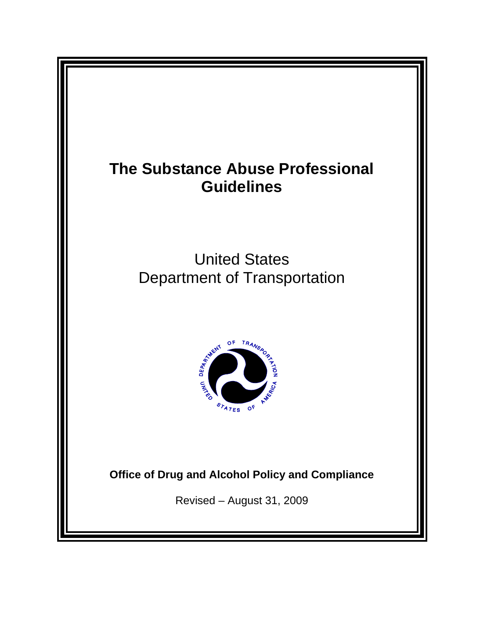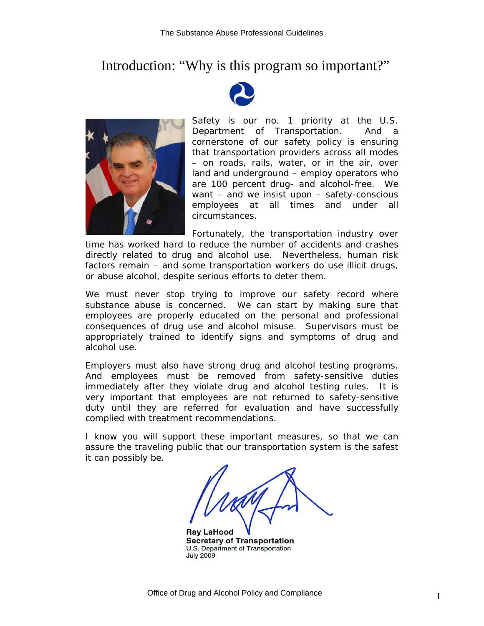# Introduction: "Why is this program so important?"





Safety is our no. 1 priority at the U.S. Department of Transportation. And a cornerstone of our safety policy is ensuring that transportation providers across all modes – on roads, rails, water, or in the air, over land and underground – employ operators who are 100 percent drug- and alcohol-free. We want – and we insist upon – safety-conscious employees at all times and under all circumstances.

Fortunately, the transportation industry over time has worked hard to reduce the number of accidents and crashes directly related to drug and alcohol use. Nevertheless, human risk factors remain – and some transportation workers do use illicit drugs, or abuse alcohol, despite serious efforts to deter them.

We must never stop trying to improve our safety record where substance abuse is concerned. We can start by making sure that employees are properly educated on the personal and professional consequences of drug use and alcohol misuse. Supervisors must be appropriately trained to identify signs and symptoms of drug and alcohol use.

Employers must also have strong drug and alcohol testing programs. And employees must be removed from safety-sensitive duties immediately after they violate drug and alcohol testing rules. It is very important that employees are not returned to safety-sensitive duty until they are referred for evaluation and have successfully complied with treatment recommendations.

I know you will support these important measures, so that we can assure the traveling public that our transportation system is the safest it can possibly be.

**Ray LaHood Secretary of Transportation** U.S. Department of Transportation **July 2009**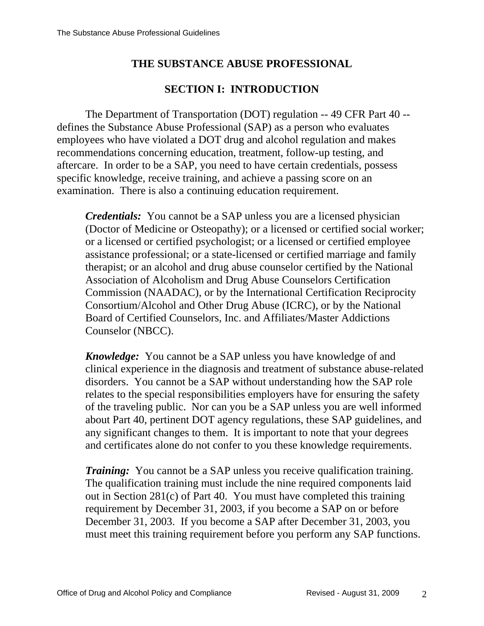# **THE SUBSTANCE ABUSE PROFESSIONAL**

# **SECTION I: INTRODUCTION**

The Department of Transportation (DOT) regulation -- 49 CFR Part 40 - defines the Substance Abuse Professional (SAP) as a person who evaluates employees who have violated a DOT drug and alcohol regulation and makes recommendations concerning education, treatment, follow-up testing, and aftercare. In order to be a SAP, you need to have certain credentials, possess specific knowledge, receive training, and achieve a passing score on an examination. There is also a continuing education requirement.

*Credentials:* You cannot be a SAP unless you are a licensed physician (Doctor of Medicine or Osteopathy); or a licensed or certified social worker; or a licensed or certified psychologist; or a licensed or certified employee assistance professional; or a state-licensed or certified marriage and family therapist; or an alcohol and drug abuse counselor certified by the National Association of Alcoholism and Drug Abuse Counselors Certification Commission (NAADAC), or by the International Certification Reciprocity Consortium/Alcohol and Other Drug Abuse (ICRC), or by the National Board of Certified Counselors, Inc. and Affiliates/Master Addictions Counselor (NBCC).

*Knowledge:* You cannot be a SAP unless you have knowledge of and clinical experience in the diagnosis and treatment of substance abuse-related disorders. You cannot be a SAP without understanding how the SAP role relates to the special responsibilities employers have for ensuring the safety of the traveling public. Nor can you be a SAP unless you are well informed about Part 40, pertinent DOT agency regulations, these SAP guidelines, and any significant changes to them. It is important to note that your degrees and certificates alone do not confer to you these knowledge requirements.

*Training:* You cannot be a SAP unless you receive qualification training. The qualification training must include the nine required components laid out in Section 281(c) of Part 40. You must have completed this training requirement by December 31, 2003, if you become a SAP on or before December 31, 2003. If you become a SAP after December 31, 2003, you must meet this training requirement before you perform any SAP functions.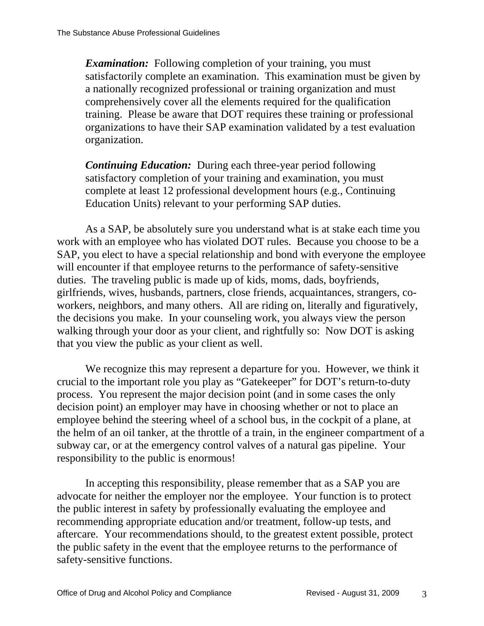*Examination:* Following completion of your training, you must satisfactorily complete an examination. This examination must be given by a nationally recognized professional or training organization and must comprehensively cover all the elements required for the qualification training. Please be aware that DOT requires these training or professional organizations to have their SAP examination validated by a test evaluation organization.

*Continuing Education:* During each three-year period following satisfactory completion of your training and examination, you must complete at least 12 professional development hours (e.g., Continuing Education Units) relevant to your performing SAP duties.

 As a SAP, be absolutely sure you understand what is at stake each time you work with an employee who has violated DOT rules. Because you choose to be a SAP, you elect to have a special relationship and bond with everyone the employee will encounter if that employee returns to the performance of safety-sensitive duties. The traveling public is made up of kids, moms, dads, boyfriends, girlfriends, wives, husbands, partners, close friends, acquaintances, strangers, coworkers, neighbors, and many others. All are riding on, literally and figuratively, the decisions you make. In your counseling work, you always view the person walking through your door as your client, and rightfully so: Now DOT is asking that you view the public as your client as well.

We recognize this may represent a departure for you. However, we think it crucial to the important role you play as "Gatekeeper" for DOT's return-to-duty process. You represent the major decision point (and in some cases the only decision point) an employer may have in choosing whether or not to place an employee behind the steering wheel of a school bus, in the cockpit of a plane, at the helm of an oil tanker, at the throttle of a train, in the engineer compartment of a subway car, or at the emergency control valves of a natural gas pipeline. Your responsibility to the public is enormous!

In accepting this responsibility, please remember that as a SAP you are advocate for neither the employer nor the employee. Your function is to protect the public interest in safety by professionally evaluating the employee and recommending appropriate education and/or treatment, follow-up tests, and aftercare. Your recommendations should, to the greatest extent possible, protect the public safety in the event that the employee returns to the performance of safety-sensitive functions.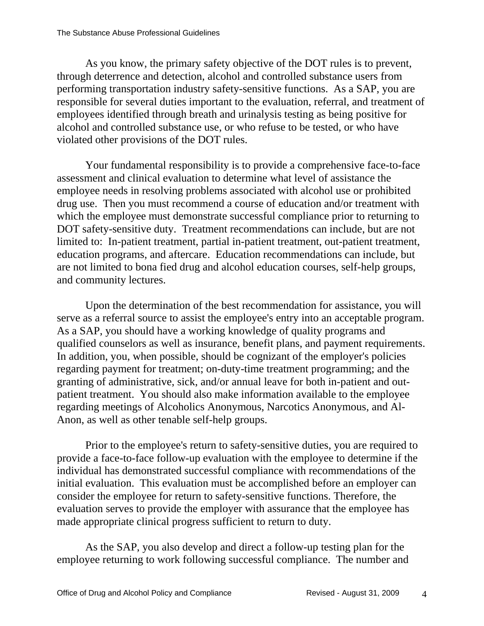As you know, the primary safety objective of the DOT rules is to prevent, through deterrence and detection, alcohol and controlled substance users from performing transportation industry safety-sensitive functions. As a SAP, you are responsible for several duties important to the evaluation, referral, and treatment of employees identified through breath and urinalysis testing as being positive for alcohol and controlled substance use, or who refuse to be tested, or who have violated other provisions of the DOT rules.

Your fundamental responsibility is to provide a comprehensive face-to-face assessment and clinical evaluation to determine what level of assistance the employee needs in resolving problems associated with alcohol use or prohibited drug use. Then you must recommend a course of education and/or treatment with which the employee must demonstrate successful compliance prior to returning to DOT safety-sensitive duty. Treatment recommendations can include, but are not limited to: In-patient treatment, partial in-patient treatment, out-patient treatment, education programs, and aftercare. Education recommendations can include, but are not limited to bona fied drug and alcohol education courses, self-help groups, and community lectures.

Upon the determination of the best recommendation for assistance, you will serve as a referral source to assist the employee's entry into an acceptable program. As a SAP, you should have a working knowledge of quality programs and qualified counselors as well as insurance, benefit plans, and payment requirements. In addition, you, when possible, should be cognizant of the employer's policies regarding payment for treatment; on-duty-time treatment programming; and the granting of administrative, sick, and/or annual leave for both in-patient and outpatient treatment. You should also make information available to the employee regarding meetings of Alcoholics Anonymous, Narcotics Anonymous, and Al-Anon, as well as other tenable self-help groups.

Prior to the employee's return to safety-sensitive duties, you are required to provide a face-to-face follow-up evaluation with the employee to determine if the individual has demonstrated successful compliance with recommendations of the initial evaluation. This evaluation must be accomplished before an employer can consider the employee for return to safety-sensitive functions. Therefore, the evaluation serves to provide the employer with assurance that the employee has made appropriate clinical progress sufficient to return to duty.

As the SAP, you also develop and direct a follow-up testing plan for the employee returning to work following successful compliance. The number and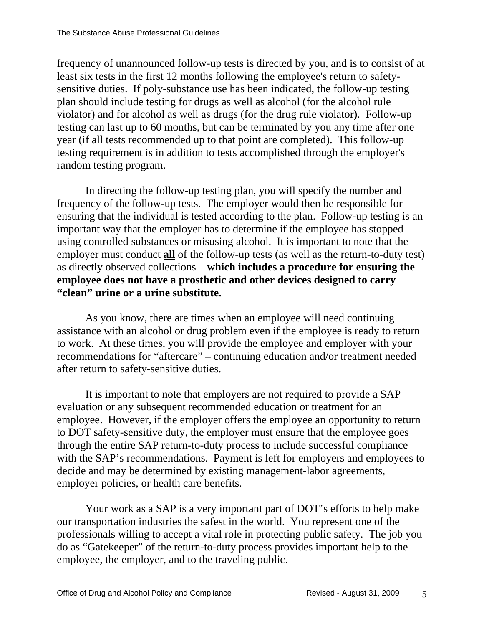frequency of unannounced follow-up tests is directed by you, and is to consist of at least six tests in the first 12 months following the employee's return to safetysensitive duties. If poly-substance use has been indicated, the follow-up testing plan should include testing for drugs as well as alcohol (for the alcohol rule violator) and for alcohol as well as drugs (for the drug rule violator). Follow-up testing can last up to 60 months, but can be terminated by you any time after one year (if all tests recommended up to that point are completed). This follow-up testing requirement is in addition to tests accomplished through the employer's random testing program.

In directing the follow-up testing plan, you will specify the number and frequency of the follow-up tests. The employer would then be responsible for ensuring that the individual is tested according to the plan. Follow-up testing is an important way that the employer has to determine if the employee has stopped using controlled substances or misusing alcohol. It is important to note that the employer must conduct **all** of the follow-up tests (as well as the return-to-duty test) as directly observed collections – **which includes a procedure for ensuring the employee does not have a prosthetic and other devices designed to carry "clean" urine or a urine substitute.** 

As you know, there are times when an employee will need continuing assistance with an alcohol or drug problem even if the employee is ready to return to work. At these times, you will provide the employee and employer with your recommendations for "aftercare" – continuing education and/or treatment needed after return to safety-sensitive duties.

It is important to note that employers are not required to provide a SAP evaluation or any subsequent recommended education or treatment for an employee. However, if the employer offers the employee an opportunity to return to DOT safety-sensitive duty, the employer must ensure that the employee goes through the entire SAP return-to-duty process to include successful compliance with the SAP's recommendations. Payment is left for employers and employees to decide and may be determined by existing management-labor agreements, employer policies, or health care benefits.

Your work as a SAP is a very important part of DOT's efforts to help make our transportation industries the safest in the world. You represent one of the professionals willing to accept a vital role in protecting public safety. The job you do as "Gatekeeper" of the return-to-duty process provides important help to the employee, the employer, and to the traveling public.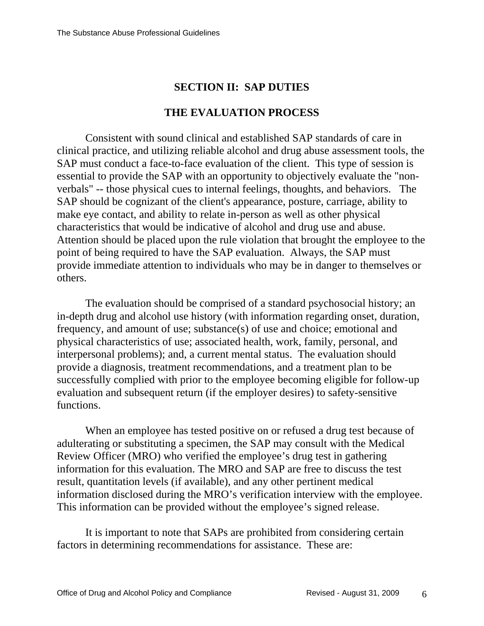#### **SECTION II: SAP DUTIES**

#### **THE EVALUATION PROCESS**

Consistent with sound clinical and established SAP standards of care in clinical practice, and utilizing reliable alcohol and drug abuse assessment tools, the SAP must conduct a face-to-face evaluation of the client. This type of session is essential to provide the SAP with an opportunity to objectively evaluate the "nonverbals" -- those physical cues to internal feelings, thoughts, and behaviors. The SAP should be cognizant of the client's appearance, posture, carriage, ability to make eye contact, and ability to relate in-person as well as other physical characteristics that would be indicative of alcohol and drug use and abuse. Attention should be placed upon the rule violation that brought the employee to the point of being required to have the SAP evaluation. Always, the SAP must provide immediate attention to individuals who may be in danger to themselves or others.

The evaluation should be comprised of a standard psychosocial history; an in-depth drug and alcohol use history (with information regarding onset, duration, frequency, and amount of use; substance(s) of use and choice; emotional and physical characteristics of use; associated health, work, family, personal, and interpersonal problems); and, a current mental status. The evaluation should provide a diagnosis, treatment recommendations, and a treatment plan to be successfully complied with prior to the employee becoming eligible for follow-up evaluation and subsequent return (if the employer desires) to safety-sensitive functions.

When an employee has tested positive on or refused a drug test because of adulterating or substituting a specimen, the SAP may consult with the Medical Review Officer (MRO) who verified the employee's drug test in gathering information for this evaluation. The MRO and SAP are free to discuss the test result, quantitation levels (if available), and any other pertinent medical information disclosed during the MRO's verification interview with the employee. This information can be provided without the employee's signed release.

It is important to note that SAPs are prohibited from considering certain factors in determining recommendations for assistance. These are: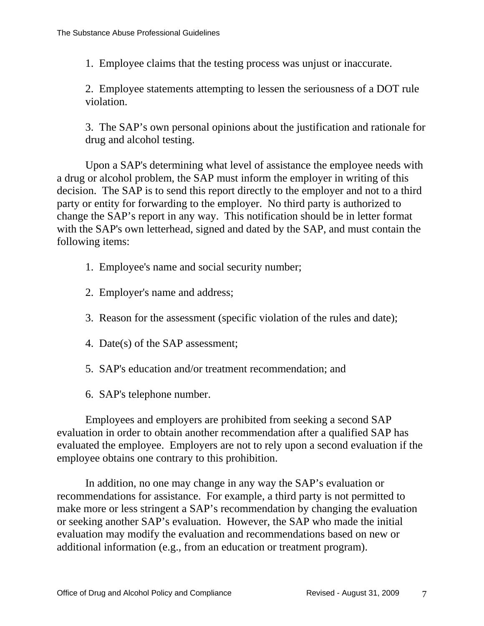1. Employee claims that the testing process was unjust or inaccurate.

2. Employee statements attempting to lessen the seriousness of a DOT rule violation.

3. The SAP's own personal opinions about the justification and rationale for drug and alcohol testing.

Upon a SAP's determining what level of assistance the employee needs with a drug or alcohol problem, the SAP must inform the employer in writing of this decision. The SAP is to send this report directly to the employer and not to a third party or entity for forwarding to the employer. No third party is authorized to change the SAP's report in any way. This notification should be in letter format with the SAP's own letterhead, signed and dated by the SAP, and must contain the following items:

- 1. Employee's name and social security number;
- 2. Employer's name and address;
- 3. Reason for the assessment (specific violation of the rules and date);
- 4. Date(s) of the SAP assessment;
- 5. SAP's education and/or treatment recommendation; and
- 6. SAP's telephone number.

Employees and employers are prohibited from seeking a second SAP evaluation in order to obtain another recommendation after a qualified SAP has evaluated the employee. Employers are not to rely upon a second evaluation if the employee obtains one contrary to this prohibition.

In addition, no one may change in any way the SAP's evaluation or recommendations for assistance. For example, a third party is not permitted to make more or less stringent a SAP's recommendation by changing the evaluation or seeking another SAP's evaluation. However, the SAP who made the initial evaluation may modify the evaluation and recommendations based on new or additional information (e.g., from an education or treatment program).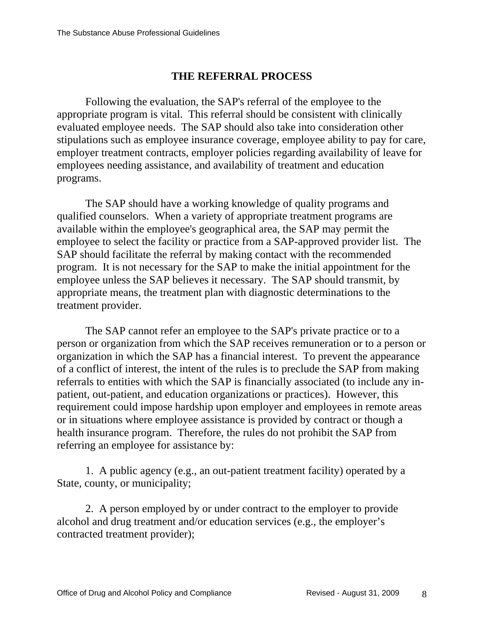## **THE REFERRAL PROCESS**

Following the evaluation, the SAP's referral of the employee to the appropriate program is vital. This referral should be consistent with clinically evaluated employee needs. The SAP should also take into consideration other stipulations such as employee insurance coverage, employee ability to pay for care, employer treatment contracts, employer policies regarding availability of leave for employees needing assistance, and availability of treatment and education programs.

The SAP should have a working knowledge of quality programs and qualified counselors. When a variety of appropriate treatment programs are available within the employee's geographical area, the SAP may permit the employee to select the facility or practice from a SAP-approved provider list. The SAP should facilitate the referral by making contact with the recommended program. It is not necessary for the SAP to make the initial appointment for the employee unless the SAP believes it necessary. The SAP should transmit, by appropriate means, the treatment plan with diagnostic determinations to the treatment provider.

The SAP cannot refer an employee to the SAP's private practice or to a person or organization from which the SAP receives remuneration or to a person or organization in which the SAP has a financial interest. To prevent the appearance of a conflict of interest, the intent of the rules is to preclude the SAP from making referrals to entities with which the SAP is financially associated (to include any inpatient, out-patient, and education organizations or practices). However, this requirement could impose hardship upon employer and employees in remote areas or in situations where employee assistance is provided by contract or though a health insurance program. Therefore, the rules do not prohibit the SAP from referring an employee for assistance by:

1. A public agency (e.g., an out-patient treatment facility) operated by a State, county, or municipality;

2. A person employed by or under contract to the employer to provide alcohol and drug treatment and/or education services (e.g., the employer's contracted treatment provider);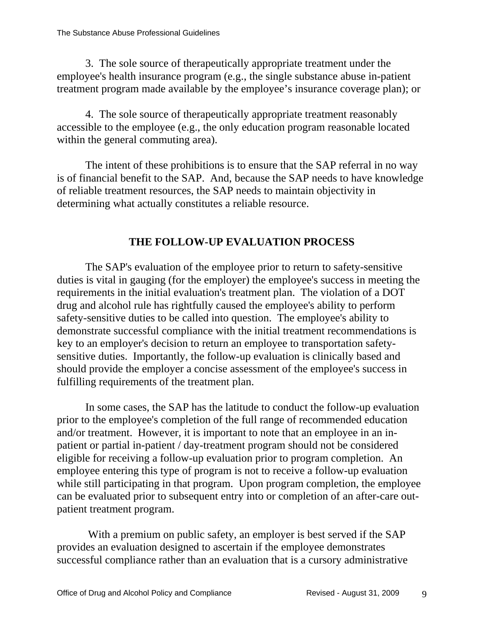3. The sole source of therapeutically appropriate treatment under the employee's health insurance program (e.g., the single substance abuse in-patient treatment program made available by the employee's insurance coverage plan); or

4. The sole source of therapeutically appropriate treatment reasonably accessible to the employee (e.g., the only education program reasonable located within the general commuting area).

The intent of these prohibitions is to ensure that the SAP referral in no way is of financial benefit to the SAP. And, because the SAP needs to have knowledge of reliable treatment resources, the SAP needs to maintain objectivity in determining what actually constitutes a reliable resource.

# **THE FOLLOW-UP EVALUATION PROCESS**

The SAP's evaluation of the employee prior to return to safety-sensitive duties is vital in gauging (for the employer) the employee's success in meeting the requirements in the initial evaluation's treatment plan. The violation of a DOT drug and alcohol rule has rightfully caused the employee's ability to perform safety-sensitive duties to be called into question. The employee's ability to demonstrate successful compliance with the initial treatment recommendations is key to an employer's decision to return an employee to transportation safetysensitive duties. Importantly, the follow-up evaluation is clinically based and should provide the employer a concise assessment of the employee's success in fulfilling requirements of the treatment plan.

In some cases, the SAP has the latitude to conduct the follow-up evaluation prior to the employee's completion of the full range of recommended education and/or treatment. However, it is important to note that an employee in an inpatient or partial in-patient / day-treatment program should not be considered eligible for receiving a follow-up evaluation prior to program completion. An employee entering this type of program is not to receive a follow-up evaluation while still participating in that program. Upon program completion, the employee can be evaluated prior to subsequent entry into or completion of an after-care outpatient treatment program.

 With a premium on public safety, an employer is best served if the SAP provides an evaluation designed to ascertain if the employee demonstrates successful compliance rather than an evaluation that is a cursory administrative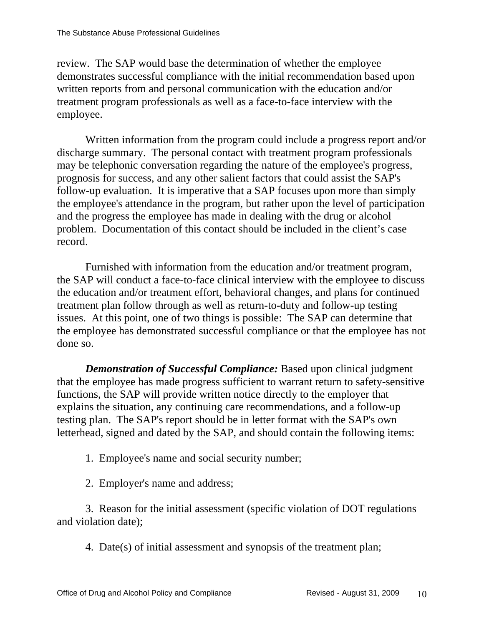review. The SAP would base the determination of whether the employee demonstrates successful compliance with the initial recommendation based upon written reports from and personal communication with the education and/or treatment program professionals as well as a face-to-face interview with the employee.

Written information from the program could include a progress report and/or discharge summary. The personal contact with treatment program professionals may be telephonic conversation regarding the nature of the employee's progress, prognosis for success, and any other salient factors that could assist the SAP's follow-up evaluation. It is imperative that a SAP focuses upon more than simply the employee's attendance in the program, but rather upon the level of participation and the progress the employee has made in dealing with the drug or alcohol problem. Documentation of this contact should be included in the client's case record.

Furnished with information from the education and/or treatment program, the SAP will conduct a face-to-face clinical interview with the employee to discuss the education and/or treatment effort, behavioral changes, and plans for continued treatment plan follow through as well as return-to-duty and follow-up testing issues. At this point, one of two things is possible: The SAP can determine that the employee has demonstrated successful compliance or that the employee has not done so.

*Demonstration of Successful Compliance:* Based upon clinical judgment that the employee has made progress sufficient to warrant return to safety-sensitive functions, the SAP will provide written notice directly to the employer that explains the situation, any continuing care recommendations, and a follow-up testing plan. The SAP's report should be in letter format with the SAP's own letterhead, signed and dated by the SAP, and should contain the following items:

1. Employee's name and social security number;

2. Employer's name and address;

3. Reason for the initial assessment (specific violation of DOT regulations and violation date);

4. Date(s) of initial assessment and synopsis of the treatment plan;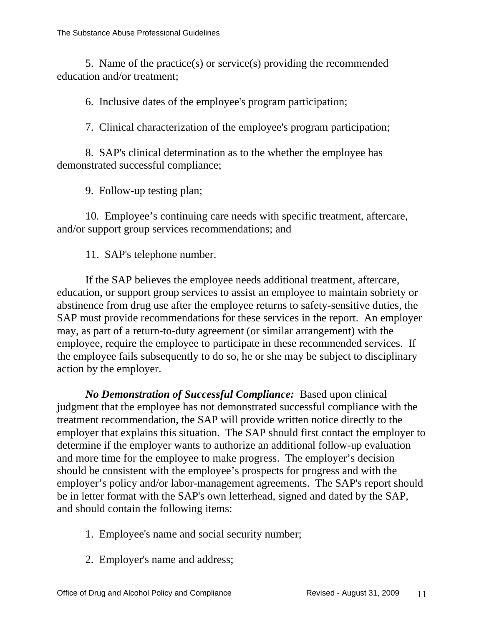5. Name of the practice(s) or service(s) providing the recommended education and/or treatment;

6. Inclusive dates of the employee's program participation;

7. Clinical characterization of the employee's program participation;

8. SAP's clinical determination as to the whether the employee has demonstrated successful compliance;

9. Follow-up testing plan;

10. Employee's continuing care needs with specific treatment, aftercare, and/or support group services recommendations; and

11. SAP's telephone number.

If the SAP believes the employee needs additional treatment, aftercare, education, or support group services to assist an employee to maintain sobriety or abstinence from drug use after the employee returns to safety-sensitive duties, the SAP must provide recommendations for these services in the report. An employer may, as part of a return-to-duty agreement (or similar arrangement) with the employee, require the employee to participate in these recommended services. If the employee fails subsequently to do so, he or she may be subject to disciplinary action by the employer.

*No Demonstration of Successful Compliance:* Based upon clinical judgment that the employee has not demonstrated successful compliance with the treatment recommendation, the SAP will provide written notice directly to the employer that explains this situation. The SAP should first contact the employer to determine if the employer wants to authorize an additional follow-up evaluation and more time for the employee to make progress. The employer's decision should be consistent with the employee's prospects for progress and with the employer's policy and/or labor-management agreements. The SAP's report should be in letter format with the SAP's own letterhead, signed and dated by the SAP, and should contain the following items:

- 1. Employee's name and social security number;
- 2. Employer's name and address;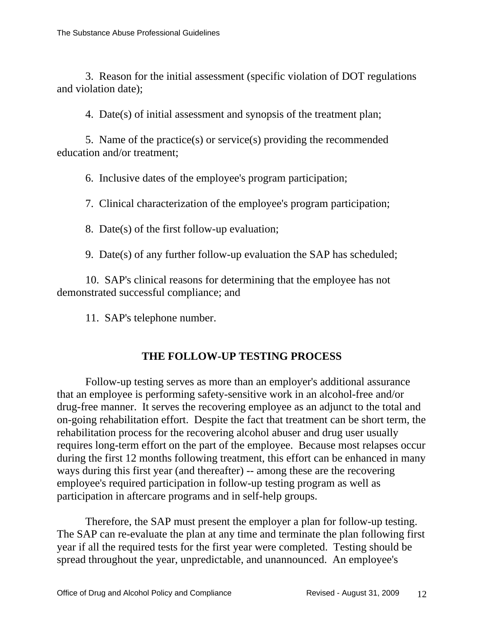3. Reason for the initial assessment (specific violation of DOT regulations and violation date);

4. Date(s) of initial assessment and synopsis of the treatment plan;

5. Name of the practice(s) or service(s) providing the recommended education and/or treatment;

6. Inclusive dates of the employee's program participation;

7. Clinical characterization of the employee's program participation;

8. Date(s) of the first follow-up evaluation;

9. Date(s) of any further follow-up evaluation the SAP has scheduled;

10. SAP's clinical reasons for determining that the employee has not demonstrated successful compliance; and

11. SAP's telephone number.

#### **THE FOLLOW-UP TESTING PROCESS**

Follow-up testing serves as more than an employer's additional assurance that an employee is performing safety-sensitive work in an alcohol-free and/or drug-free manner. It serves the recovering employee as an adjunct to the total and on-going rehabilitation effort. Despite the fact that treatment can be short term, the rehabilitation process for the recovering alcohol abuser and drug user usually requires long-term effort on the part of the employee. Because most relapses occur during the first 12 months following treatment, this effort can be enhanced in many ways during this first year (and thereafter) -- among these are the recovering employee's required participation in follow-up testing program as well as participation in aftercare programs and in self-help groups.

Therefore, the SAP must present the employer a plan for follow-up testing. The SAP can re-evaluate the plan at any time and terminate the plan following first year if all the required tests for the first year were completed. Testing should be spread throughout the year, unpredictable, and unannounced. An employee's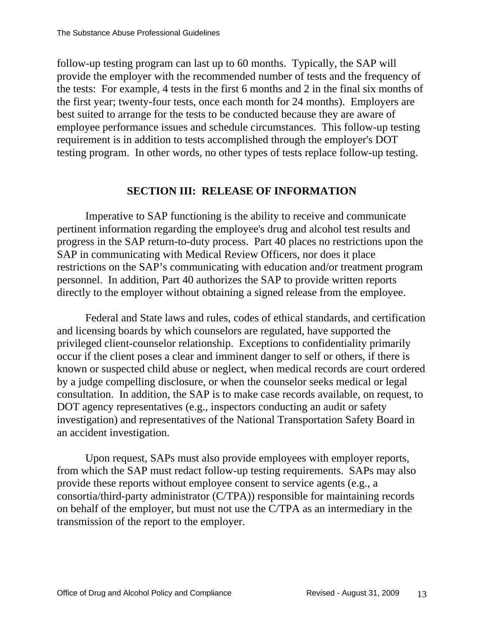follow-up testing program can last up to 60 months. Typically, the SAP will provide the employer with the recommended number of tests and the frequency of the tests: For example, 4 tests in the first 6 months and 2 in the final six months of the first year; twenty-four tests, once each month for 24 months). Employers are best suited to arrange for the tests to be conducted because they are aware of employee performance issues and schedule circumstances. This follow-up testing requirement is in addition to tests accomplished through the employer's DOT testing program. In other words, no other types of tests replace follow-up testing.

#### **SECTION III: RELEASE OF INFORMATION**

Imperative to SAP functioning is the ability to receive and communicate pertinent information regarding the employee's drug and alcohol test results and progress in the SAP return-to-duty process. Part 40 places no restrictions upon the SAP in communicating with Medical Review Officers, nor does it place restrictions on the SAP's communicating with education and/or treatment program personnel. In addition, Part 40 authorizes the SAP to provide written reports directly to the employer without obtaining a signed release from the employee.

Federal and State laws and rules, codes of ethical standards, and certification and licensing boards by which counselors are regulated, have supported the privileged client-counselor relationship. Exceptions to confidentiality primarily occur if the client poses a clear and imminent danger to self or others, if there is known or suspected child abuse or neglect, when medical records are court ordered by a judge compelling disclosure, or when the counselor seeks medical or legal consultation. In addition, the SAP is to make case records available, on request, to DOT agency representatives (e.g., inspectors conducting an audit or safety investigation) and representatives of the National Transportation Safety Board in an accident investigation.

Upon request, SAPs must also provide employees with employer reports, from which the SAP must redact follow-up testing requirements. SAPs may also provide these reports without employee consent to service agents (e.g., a consortia/third-party administrator (C/TPA)) responsible for maintaining records on behalf of the employer, but must not use the C/TPA as an intermediary in the transmission of the report to the employer.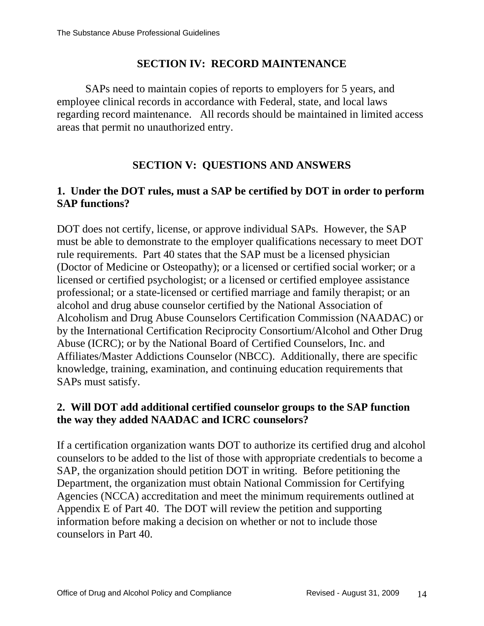## **SECTION IV: RECORD MAINTENANCE**

SAPs need to maintain copies of reports to employers for 5 years, and employee clinical records in accordance with Federal, state, and local laws regarding record maintenance. All records should be maintained in limited access areas that permit no unauthorized entry.

# **SECTION V: QUESTIONS AND ANSWERS**

# **1. Under the DOT rules, must a SAP be certified by DOT in order to perform SAP functions?**

DOT does not certify, license, or approve individual SAPs. However, the SAP must be able to demonstrate to the employer qualifications necessary to meet DOT rule requirements. Part 40 states that the SAP must be a licensed physician (Doctor of Medicine or Osteopathy); or a licensed or certified social worker; or a licensed or certified psychologist; or a licensed or certified employee assistance professional; or a state-licensed or certified marriage and family therapist; or an alcohol and drug abuse counselor certified by the National Association of Alcoholism and Drug Abuse Counselors Certification Commission (NAADAC) or by the International Certification Reciprocity Consortium/Alcohol and Other Drug Abuse (ICRC); or by the National Board of Certified Counselors, Inc. and Affiliates/Master Addictions Counselor (NBCC). Additionally, there are specific knowledge, training, examination, and continuing education requirements that SAPs must satisfy.

#### **2. Will DOT add additional certified counselor groups to the SAP function the way they added NAADAC and ICRC counselors?**

If a certification organization wants DOT to authorize its certified drug and alcohol counselors to be added to the list of those with appropriate credentials to become a SAP, the organization should petition DOT in writing. Before petitioning the Department, the organization must obtain National Commission for Certifying Agencies (NCCA) accreditation and meet the minimum requirements outlined at Appendix E of Part 40. The DOT will review the petition and supporting information before making a decision on whether or not to include those counselors in Part 40.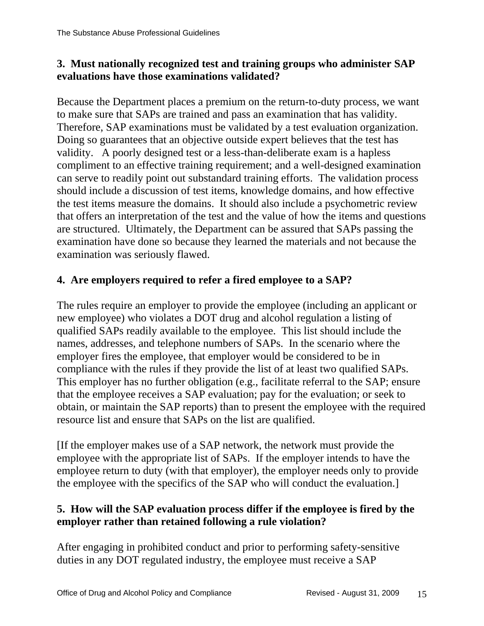# **3. Must nationally recognized test and training groups who administer SAP evaluations have those examinations validated?**

Because the Department places a premium on the return-to-duty process, we want to make sure that SAPs are trained and pass an examination that has validity. Therefore, SAP examinations must be validated by a test evaluation organization. Doing so guarantees that an objective outside expert believes that the test has validity. A poorly designed test or a less-than-deliberate exam is a hapless compliment to an effective training requirement; and a well-designed examination can serve to readily point out substandard training efforts. The validation process should include a discussion of test items, knowledge domains, and how effective the test items measure the domains. It should also include a psychometric review that offers an interpretation of the test and the value of how the items and questions are structured. Ultimately, the Department can be assured that SAPs passing the examination have done so because they learned the materials and not because the examination was seriously flawed.

# **4. Are employers required to refer a fired employee to a SAP?**

The rules require an employer to provide the employee (including an applicant or new employee) who violates a DOT drug and alcohol regulation a listing of qualified SAPs readily available to the employee. This list should include the names, addresses, and telephone numbers of SAPs. In the scenario where the employer fires the employee, that employer would be considered to be in compliance with the rules if they provide the list of at least two qualified SAPs. This employer has no further obligation (e.g., facilitate referral to the SAP; ensure that the employee receives a SAP evaluation; pay for the evaluation; or seek to obtain, or maintain the SAP reports) than to present the employee with the required resource list and ensure that SAPs on the list are qualified.

[If the employer makes use of a SAP network, the network must provide the employee with the appropriate list of SAPs. If the employer intends to have the employee return to duty (with that employer), the employer needs only to provide the employee with the specifics of the SAP who will conduct the evaluation.]

# **5. How will the SAP evaluation process differ if the employee is fired by the employer rather than retained following a rule violation?**

After engaging in prohibited conduct and prior to performing safety-sensitive duties in any DOT regulated industry, the employee must receive a SAP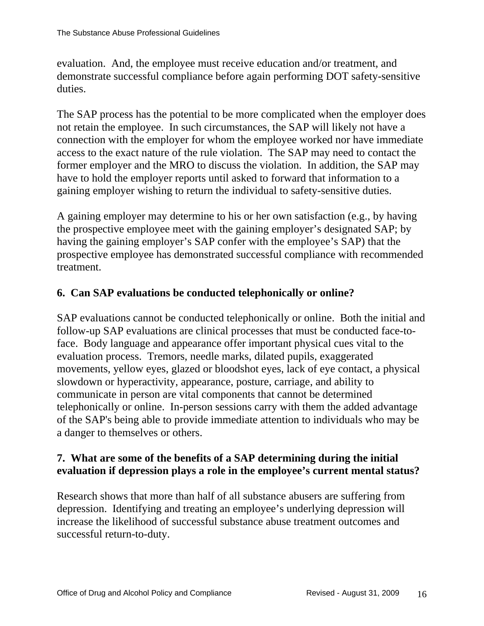evaluation. And, the employee must receive education and/or treatment, and demonstrate successful compliance before again performing DOT safety-sensitive duties.

The SAP process has the potential to be more complicated when the employer does not retain the employee. In such circumstances, the SAP will likely not have a connection with the employer for whom the employee worked nor have immediate access to the exact nature of the rule violation. The SAP may need to contact the former employer and the MRO to discuss the violation. In addition, the SAP may have to hold the employer reports until asked to forward that information to a gaining employer wishing to return the individual to safety-sensitive duties.

A gaining employer may determine to his or her own satisfaction (e.g., by having the prospective employee meet with the gaining employer's designated SAP; by having the gaining employer's SAP confer with the employee's SAP) that the prospective employee has demonstrated successful compliance with recommended treatment.

# **6. Can SAP evaluations be conducted telephonically or online?**

SAP evaluations cannot be conducted telephonically or online. Both the initial and follow-up SAP evaluations are clinical processes that must be conducted face-toface. Body language and appearance offer important physical cues vital to the evaluation process. Tremors, needle marks, dilated pupils, exaggerated movements, yellow eyes, glazed or bloodshot eyes, lack of eye contact, a physical slowdown or hyperactivity, appearance, posture, carriage, and ability to communicate in person are vital components that cannot be determined telephonically or online. In-person sessions carry with them the added advantage of the SAP's being able to provide immediate attention to individuals who may be a danger to themselves or others.

#### **7. What are some of the benefits of a SAP determining during the initial evaluation if depression plays a role in the employee's current mental status?**

Research shows that more than half of all substance abusers are suffering from depression. Identifying and treating an employee's underlying depression will increase the likelihood of successful substance abuse treatment outcomes and successful return-to-duty.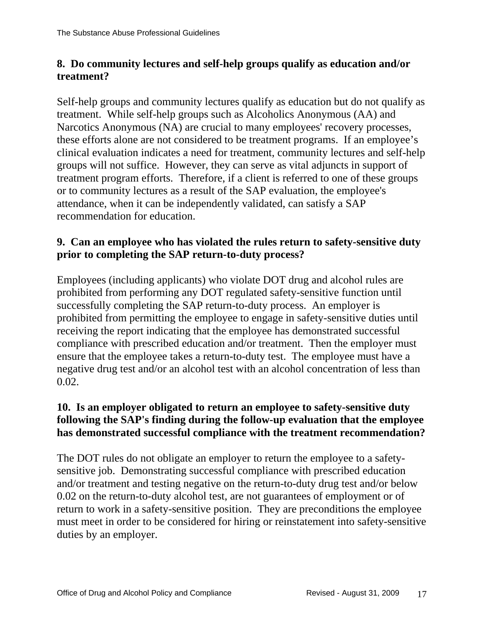# **8. Do community lectures and self-help groups qualify as education and/or treatment?**

Self-help groups and community lectures qualify as education but do not qualify as treatment. While self-help groups such as Alcoholics Anonymous (AA) and Narcotics Anonymous (NA) are crucial to many employees' recovery processes, these efforts alone are not considered to be treatment programs. If an employee's clinical evaluation indicates a need for treatment, community lectures and self-help groups will not suffice. However, they can serve as vital adjuncts in support of treatment program efforts. Therefore, if a client is referred to one of these groups or to community lectures as a result of the SAP evaluation, the employee's attendance, when it can be independently validated, can satisfy a SAP recommendation for education.

## **9. Can an employee who has violated the rules return to safety-sensitive duty prior to completing the SAP return-to-duty process?**

Employees (including applicants) who violate DOT drug and alcohol rules are prohibited from performing any DOT regulated safety-sensitive function until successfully completing the SAP return-to-duty process. An employer is prohibited from permitting the employee to engage in safety-sensitive duties until receiving the report indicating that the employee has demonstrated successful compliance with prescribed education and/or treatment. Then the employer must ensure that the employee takes a return-to-duty test. The employee must have a negative drug test and/or an alcohol test with an alcohol concentration of less than 0.02.

## **10. Is an employer obligated to return an employee to safety-sensitive duty following the SAP's finding during the follow-up evaluation that the employee has demonstrated successful compliance with the treatment recommendation?**

The DOT rules do not obligate an employer to return the employee to a safetysensitive job. Demonstrating successful compliance with prescribed education and/or treatment and testing negative on the return-to-duty drug test and/or below 0.02 on the return-to-duty alcohol test, are not guarantees of employment or of return to work in a safety-sensitive position. They are preconditions the employee must meet in order to be considered for hiring or reinstatement into safety-sensitive duties by an employer.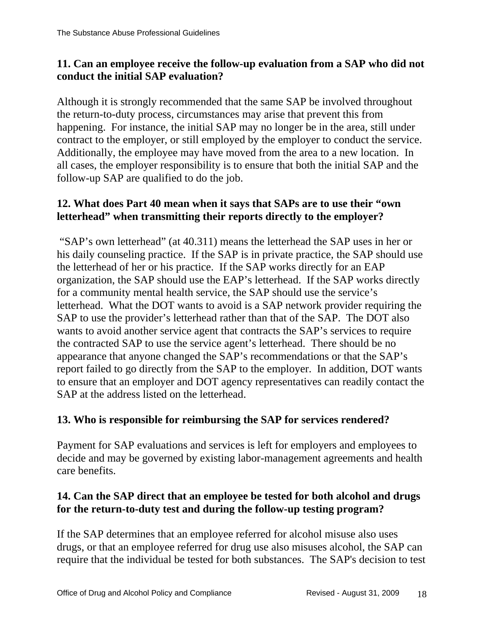# **11. Can an employee receive the follow-up evaluation from a SAP who did not conduct the initial SAP evaluation?**

Although it is strongly recommended that the same SAP be involved throughout the return-to-duty process, circumstances may arise that prevent this from happening. For instance, the initial SAP may no longer be in the area, still under contract to the employer, or still employed by the employer to conduct the service. Additionally, the employee may have moved from the area to a new location. In all cases, the employer responsibility is to ensure that both the initial SAP and the follow-up SAP are qualified to do the job.

# **12. What does Part 40 mean when it says that SAPs are to use their "own letterhead" when transmitting their reports directly to the employer?**

 "SAP's own letterhead" (at 40.311) means the letterhead the SAP uses in her or his daily counseling practice. If the SAP is in private practice, the SAP should use the letterhead of her or his practice. If the SAP works directly for an EAP organization, the SAP should use the EAP's letterhead. If the SAP works directly for a community mental health service, the SAP should use the service's letterhead. What the DOT wants to avoid is a SAP network provider requiring the SAP to use the provider's letterhead rather than that of the SAP. The DOT also wants to avoid another service agent that contracts the SAP's services to require the contracted SAP to use the service agent's letterhead. There should be no appearance that anyone changed the SAP's recommendations or that the SAP's report failed to go directly from the SAP to the employer. In addition, DOT wants to ensure that an employer and DOT agency representatives can readily contact the SAP at the address listed on the letterhead.

# **13. Who is responsible for reimbursing the SAP for services rendered?**

Payment for SAP evaluations and services is left for employers and employees to decide and may be governed by existing labor-management agreements and health care benefits.

# **14. Can the SAP direct that an employee be tested for both alcohol and drugs for the return-to-duty test and during the follow-up testing program?**

If the SAP determines that an employee referred for alcohol misuse also uses drugs, or that an employee referred for drug use also misuses alcohol, the SAP can require that the individual be tested for both substances. The SAP's decision to test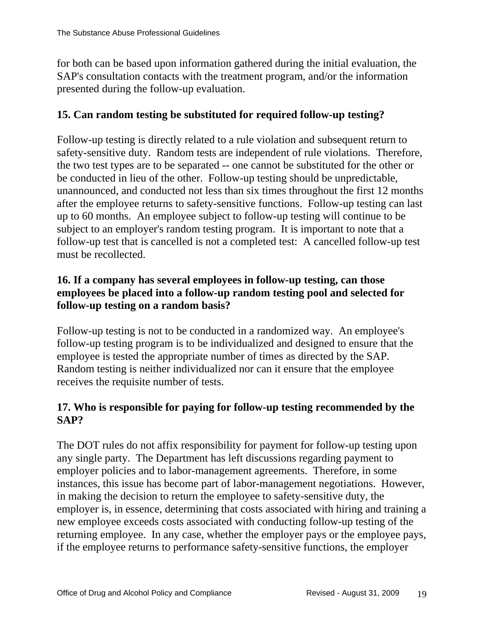for both can be based upon information gathered during the initial evaluation, the SAP's consultation contacts with the treatment program, and/or the information presented during the follow-up evaluation.

#### **15. Can random testing be substituted for required follow-up testing?**

Follow-up testing is directly related to a rule violation and subsequent return to safety-sensitive duty. Random tests are independent of rule violations. Therefore, the two test types are to be separated -- one cannot be substituted for the other or be conducted in lieu of the other. Follow-up testing should be unpredictable, unannounced, and conducted not less than six times throughout the first 12 months after the employee returns to safety-sensitive functions. Follow-up testing can last up to 60 months. An employee subject to follow-up testing will continue to be subject to an employer's random testing program. It is important to note that a follow-up test that is cancelled is not a completed test: A cancelled follow-up test must be recollected.

# **16. If a company has several employees in follow-up testing, can those employees be placed into a follow-up random testing pool and selected for follow-up testing on a random basis?**

Follow-up testing is not to be conducted in a randomized way. An employee's follow-up testing program is to be individualized and designed to ensure that the employee is tested the appropriate number of times as directed by the SAP. Random testing is neither individualized nor can it ensure that the employee receives the requisite number of tests.

# **17. Who is responsible for paying for follow-up testing recommended by the SAP?**

The DOT rules do not affix responsibility for payment for follow-up testing upon any single party. The Department has left discussions regarding payment to employer policies and to labor-management agreements. Therefore, in some instances, this issue has become part of labor-management negotiations. However, in making the decision to return the employee to safety-sensitive duty, the employer is, in essence, determining that costs associated with hiring and training a new employee exceeds costs associated with conducting follow-up testing of the returning employee. In any case, whether the employer pays or the employee pays, if the employee returns to performance safety-sensitive functions, the employer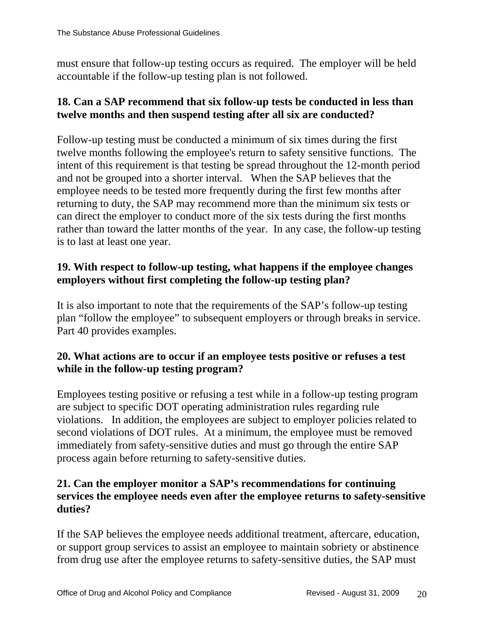must ensure that follow-up testing occurs as required. The employer will be held accountable if the follow-up testing plan is not followed.

#### **18. Can a SAP recommend that six follow-up tests be conducted in less than twelve months and then suspend testing after all six are conducted?**

Follow-up testing must be conducted a minimum of six times during the first twelve months following the employee's return to safety sensitive functions. The intent of this requirement is that testing be spread throughout the 12-month period and not be grouped into a shorter interval. When the SAP believes that the employee needs to be tested more frequently during the first few months after returning to duty, the SAP may recommend more than the minimum six tests or can direct the employer to conduct more of the six tests during the first months rather than toward the latter months of the year. In any case, the follow-up testing is to last at least one year.

## **19. With respect to follow-up testing, what happens if the employee changes employers without first completing the follow-up testing plan?**

It is also important to note that the requirements of the SAP's follow-up testing plan "follow the employee" to subsequent employers or through breaks in service. Part 40 provides examples.

# **20. What actions are to occur if an employee tests positive or refuses a test while in the follow-up testing program?**

Employees testing positive or refusing a test while in a follow-up testing program are subject to specific DOT operating administration rules regarding rule violations. In addition, the employees are subject to employer policies related to second violations of DOT rules. At a minimum, the employee must be removed immediately from safety-sensitive duties and must go through the entire SAP process again before returning to safety-sensitive duties.

## **21. Can the employer monitor a SAP's recommendations for continuing services the employee needs even after the employee returns to safety-sensitive duties?**

If the SAP believes the employee needs additional treatment, aftercare, education, or support group services to assist an employee to maintain sobriety or abstinence from drug use after the employee returns to safety-sensitive duties, the SAP must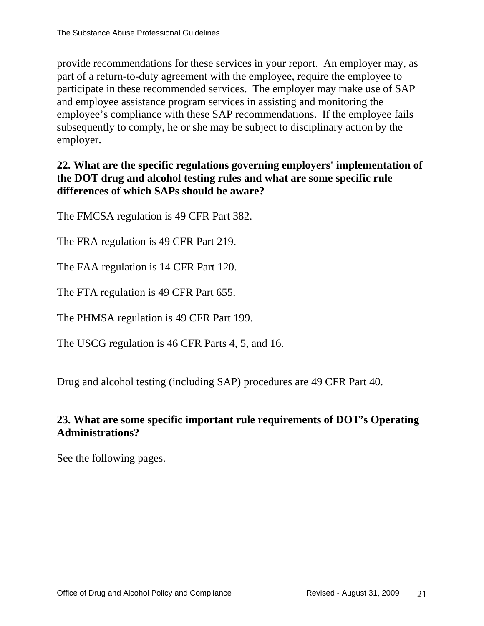provide recommendations for these services in your report. An employer may, as part of a return-to-duty agreement with the employee, require the employee to participate in these recommended services. The employer may make use of SAP and employee assistance program services in assisting and monitoring the employee's compliance with these SAP recommendations. If the employee fails subsequently to comply, he or she may be subject to disciplinary action by the employer.

#### **22. What are the specific regulations governing employers' implementation of the DOT drug and alcohol testing rules and what are some specific rule differences of which SAPs should be aware?**

The FMCSA regulation is 49 CFR Part 382.

The FRA regulation is 49 CFR Part 219.

The FAA regulation is 14 CFR Part 120.

The FTA regulation is 49 CFR Part 655.

The PHMSA regulation is 49 CFR Part 199.

The USCG regulation is 46 CFR Parts 4, 5, and 16.

Drug and alcohol testing (including SAP) procedures are 49 CFR Part 40.

# **23. What are some specific important rule requirements of DOT's Operating Administrations?**

See the following pages.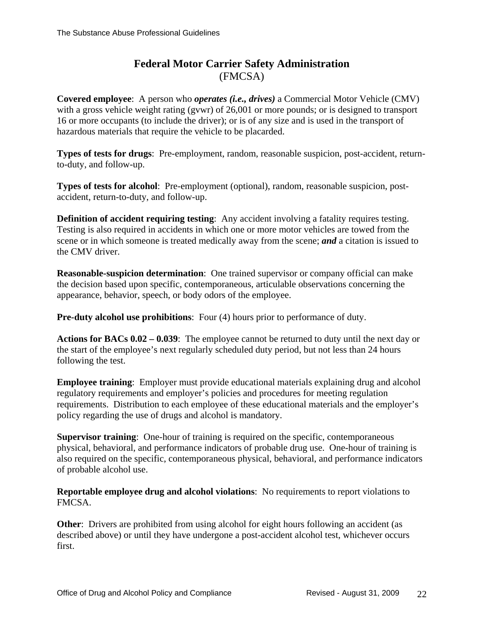# **Federal Motor Carrier Safety Administration**  (FMCSA)

**Covered employee**: A person who *operates (i.e., drives)* a Commercial Motor Vehicle (CMV) with a gross vehicle weight rating (gywr) of 26,001 or more pounds; or is designed to transport 16 or more occupants (to include the driver); or is of any size and is used in the transport of hazardous materials that require the vehicle to be placarded.

**Types of tests for drugs**: Pre-employment, random, reasonable suspicion, post-accident, returnto-duty, and follow-up.

**Types of tests for alcohol**: Pre-employment (optional), random, reasonable suspicion, postaccident, return-to-duty, and follow-up.

**Definition of accident requiring testing**: Any accident involving a fatality requires testing. Testing is also required in accidents in which one or more motor vehicles are towed from the scene or in which someone is treated medically away from the scene; *and* a citation is issued to the CMV driver.

**Reasonable-suspicion determination**: One trained supervisor or company official can make the decision based upon specific, contemporaneous, articulable observations concerning the appearance, behavior, speech, or body odors of the employee.

**Pre-duty alcohol use prohibitions**: Four (4) hours prior to performance of duty.

**Actions for BACs 0.02 – 0.039**: The employee cannot be returned to duty until the next day or the start of the employee's next regularly scheduled duty period, but not less than 24 hours following the test.

**Employee training**: Employer must provide educational materials explaining drug and alcohol regulatory requirements and employer's policies and procedures for meeting regulation requirements. Distribution to each employee of these educational materials and the employer's policy regarding the use of drugs and alcohol is mandatory.

**Supervisor training**: One-hour of training is required on the specific, contemporaneous physical, behavioral, and performance indicators of probable drug use. One-hour of training is also required on the specific, contemporaneous physical, behavioral, and performance indicators of probable alcohol use.

**Reportable employee drug and alcohol violations**: No requirements to report violations to FMCSA.

**Other:** Drivers are prohibited from using alcohol for eight hours following an accident (as described above) or until they have undergone a post-accident alcohol test, whichever occurs first.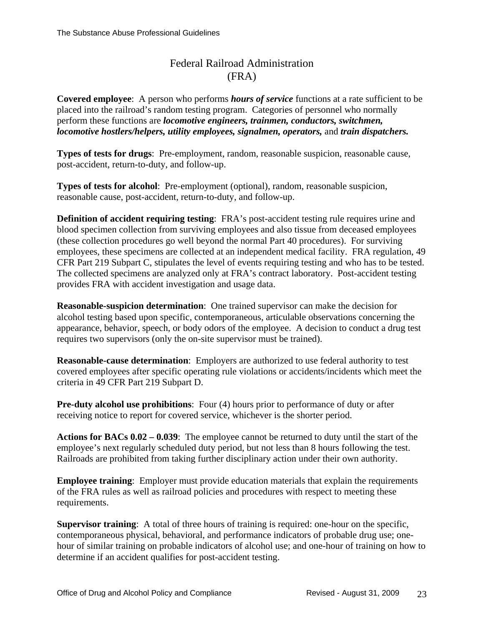# Federal Railroad Administration (FRA)

**Covered employee**: A person who performs *hours of service* functions at a rate sufficient to be placed into the railroad's random testing program. Categories of personnel who normally perform these functions are *locomotive engineers, trainmen, conductors, switchmen, locomotive hostlers/helpers, utility employees, signalmen, operators,* and *train dispatchers.*

**Types of tests for drugs**: Pre-employment, random, reasonable suspicion, reasonable cause, post-accident, return-to-duty, and follow-up.

**Types of tests for alcohol**: Pre-employment (optional), random, reasonable suspicion, reasonable cause, post-accident, return-to-duty, and follow-up.

**Definition of accident requiring testing**: FRA's post-accident testing rule requires urine and blood specimen collection from surviving employees and also tissue from deceased employees (these collection procedures go well beyond the normal Part 40 procedures). For surviving employees, these specimens are collected at an independent medical facility. FRA regulation, 49 CFR Part 219 Subpart C, stipulates the level of events requiring testing and who has to be tested. The collected specimens are analyzed only at FRA's contract laboratory. Post-accident testing provides FRA with accident investigation and usage data.

**Reasonable-suspicion determination**: One trained supervisor can make the decision for alcohol testing based upon specific, contemporaneous, articulable observations concerning the appearance, behavior, speech, or body odors of the employee. A decision to conduct a drug test requires two supervisors (only the on-site supervisor must be trained).

**Reasonable-cause determination**: Employers are authorized to use federal authority to test covered employees after specific operating rule violations or accidents/incidents which meet the criteria in 49 CFR Part 219 Subpart D.

**Pre-duty alcohol use prohibitions**: Four (4) hours prior to performance of duty or after receiving notice to report for covered service, whichever is the shorter period.

**Actions for BACs 0.02 – 0.039**: The employee cannot be returned to duty until the start of the employee's next regularly scheduled duty period, but not less than 8 hours following the test. Railroads are prohibited from taking further disciplinary action under their own authority.

**Employee training**: Employer must provide education materials that explain the requirements of the FRA rules as well as railroad policies and procedures with respect to meeting these requirements.

**Supervisor training**: A total of three hours of training is required: one-hour on the specific, contemporaneous physical, behavioral, and performance indicators of probable drug use; onehour of similar training on probable indicators of alcohol use; and one-hour of training on how to determine if an accident qualifies for post-accident testing.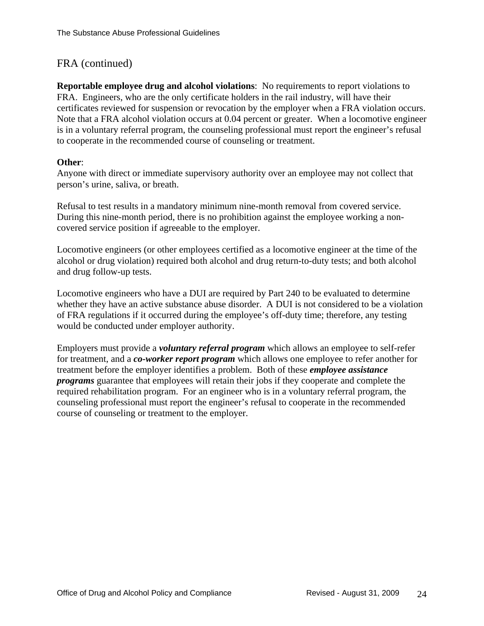#### FRA (continued)

**Reportable employee drug and alcohol violations**: No requirements to report violations to FRA. Engineers, who are the only certificate holders in the rail industry, will have their certificates reviewed for suspension or revocation by the employer when a FRA violation occurs. Note that a FRA alcohol violation occurs at 0.04 percent or greater. When a locomotive engineer is in a voluntary referral program, the counseling professional must report the engineer's refusal to cooperate in the recommended course of counseling or treatment.

#### **Other**:

Anyone with direct or immediate supervisory authority over an employee may not collect that person's urine, saliva, or breath.

Refusal to test results in a mandatory minimum nine-month removal from covered service. During this nine-month period, there is no prohibition against the employee working a noncovered service position if agreeable to the employer.

Locomotive engineers (or other employees certified as a locomotive engineer at the time of the alcohol or drug violation) required both alcohol and drug return-to-duty tests; and both alcohol and drug follow-up tests.

Locomotive engineers who have a DUI are required by Part 240 to be evaluated to determine whether they have an active substance abuse disorder. A DUI is not considered to be a violation of FRA regulations if it occurred during the employee's off-duty time; therefore, any testing would be conducted under employer authority.

Employers must provide a *voluntary referral program* which allows an employee to self-refer for treatment, and a *co-worker report program* which allows one employee to refer another for treatment before the employer identifies a problem. Both of these *employee assistance programs* guarantee that employees will retain their jobs if they cooperate and complete the required rehabilitation program. For an engineer who is in a voluntary referral program, the counseling professional must report the engineer's refusal to cooperate in the recommended course of counseling or treatment to the employer.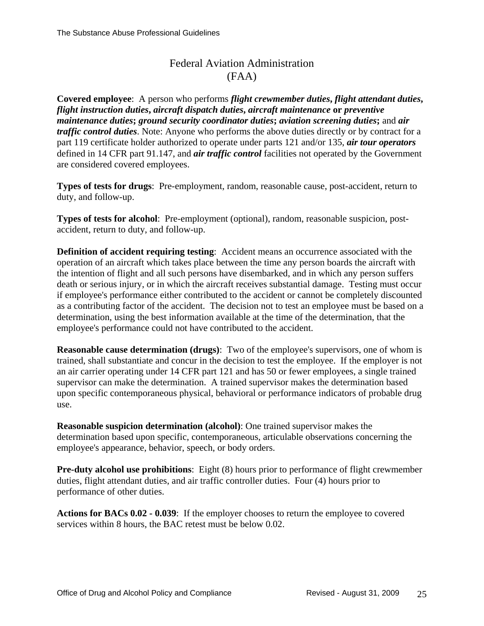# Federal Aviation Administration (FAA)

**Covered employee**: A person who performs *flight crewmember duties***,** *flight attendant duties***,**  *flight instruction duties***,** *aircraft dispatch duties***,** *aircraft maintenance* **or** *preventive maintenance duties***;** *ground security coordinator duties***;** *aviation screening duties***;** and *air traffic control duties*. Note: Anyone who performs the above duties directly or by contract for a part 119 certificate holder authorized to operate under parts 121 and/or 135, *air tour operators* defined in 14 CFR part 91.147, and *air traffic control* facilities not operated by the Government are considered covered employees.

**Types of tests for drugs**: Pre-employment, random, reasonable cause, post-accident, return to duty, and follow-up.

**Types of tests for alcohol**:Pre-employment (optional), random, reasonable suspicion, postaccident, return to duty, and follow-up.

**Definition of accident requiring testing**: Accident means an occurrence associated with the operation of an aircraft which takes place between the time any person boards the aircraft with the intention of flight and all such persons have disembarked, and in which any person suffers death or serious injury, or in which the aircraft receives substantial damage. Testing must occur if employee's performance either contributed to the accident or cannot be completely discounted as a contributing factor of the accident. The decision not to test an employee must be based on a determination, using the best information available at the time of the determination, that the employee's performance could not have contributed to the accident.

**Reasonable cause determination (drugs):** Two of the employee's supervisors, one of whom is trained, shall substantiate and concur in the decision to test the employee. If the employer is not an air carrier operating under 14 CFR part 121 and has 50 or fewer employees, a single trained supervisor can make the determination. A trained supervisor makes the determination based upon specific contemporaneous physical, behavioral or performance indicators of probable drug use.

**Reasonable suspicion determination (alcohol)**: One trained supervisor makes the determination based upon specific, contemporaneous, articulable observations concerning the employee's appearance, behavior, speech, or body orders.

**Pre-duty alcohol use prohibitions:** Eight (8) hours prior to performance of flight crewmember duties, flight attendant duties, and air traffic controller duties. Four (4) hours prior to performance of other duties.

**Actions for BACs 0.02 - 0.039**:If the employer chooses to return the employee to covered services within 8 hours, the BAC retest must be below 0.02.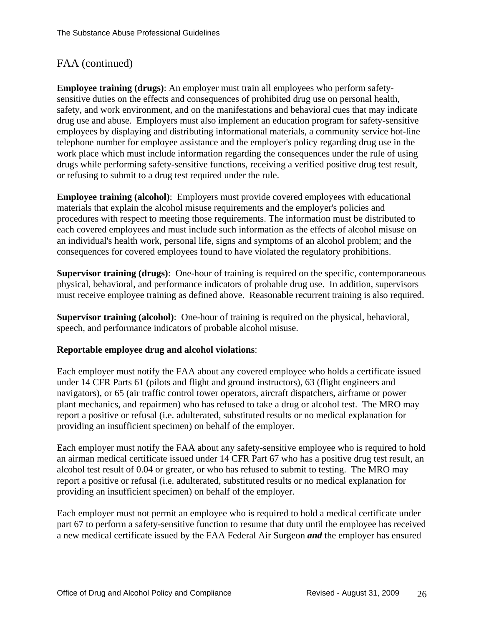## FAA (continued)

**Employee training (drugs)**: An employer must train all employees who perform safetysensitive duties on the effects and consequences of prohibited drug use on personal health, safety, and work environment, and on the manifestations and behavioral cues that may indicate drug use and abuse. Employers must also implement an education program for safety-sensitive employees by displaying and distributing informational materials, a community service hot-line telephone number for employee assistance and the employer's policy regarding drug use in the work place which must include information regarding the consequences under the rule of using drugs while performing safety-sensitive functions, receiving a verified positive drug test result, or refusing to submit to a drug test required under the rule.

**Employee training (alcohol):** Employers must provide covered employees with educational materials that explain the alcohol misuse requirements and the employer's policies and procedures with respect to meeting those requirements. The information must be distributed to each covered employees and must include such information as the effects of alcohol misuse on an individual's health work, personal life, signs and symptoms of an alcohol problem; and the consequences for covered employees found to have violated the regulatory prohibitions.

**Supervisor training (drugs)**:One-hour of training is required on the specific, contemporaneous physical, behavioral, and performance indicators of probable drug use. In addition, supervisors must receive employee training as defined above. Reasonable recurrent training is also required.

**Supervisor training (alcohol)**:One-hour of training is required on the physical, behavioral, speech, and performance indicators of probable alcohol misuse.

#### **Reportable employee drug and alcohol violations**:

Each employer must notify the FAA about any covered employee who holds a certificate issued under 14 CFR Parts 61 (pilots and flight and ground instructors), 63 (flight engineers and navigators), or 65 (air traffic control tower operators, aircraft dispatchers, airframe or power plant mechanics, and repairmen) who has refused to take a drug or alcohol test. The MRO may report a positive or refusal (i.e. adulterated, substituted results or no medical explanation for providing an insufficient specimen) on behalf of the employer.

Each employer must notify the FAA about any safety-sensitive employee who is required to hold an airman medical certificate issued under 14 CFR Part 67 who has a positive drug test result, an alcohol test result of 0.04 or greater, or who has refused to submit to testing. The MRO may report a positive or refusal (i.e. adulterated, substituted results or no medical explanation for providing an insufficient specimen) on behalf of the employer.

Each employer must not permit an employee who is required to hold a medical certificate under part 67 to perform a safety-sensitive function to resume that duty until the employee has received a new medical certificate issued by the FAA Federal Air Surgeon *and* the employer has ensured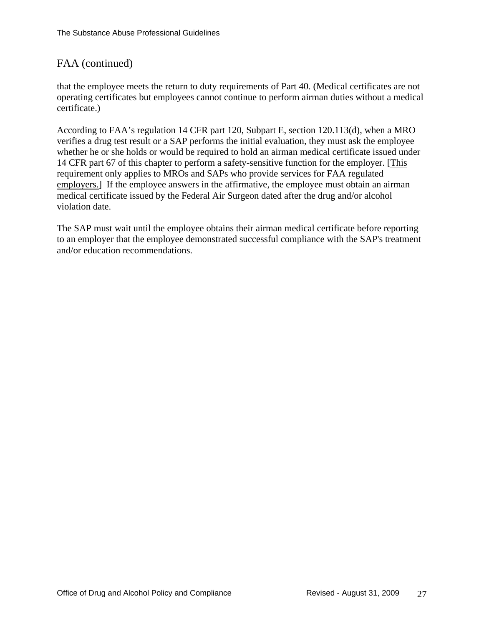#### FAA (continued)

that the employee meets the return to duty requirements of Part 40. (Medical certificates are not operating certificates but employees cannot continue to perform airman duties without a medical certificate.)

According to FAA's regulation 14 CFR part 120, Subpart E, section 120.113(d), when a MRO verifies a drug test result or a SAP performs the initial evaluation, they must ask the employee whether he or she holds or would be required to hold an airman medical certificate issued under 14 CFR part 67 of this chapter to perform a safety-sensitive function for the employer. [This requirement only applies to MROs and SAPs who provide services for FAA regulated employers.] If the employee answers in the affirmative, the employee must obtain an airman medical certificate issued by the Federal Air Surgeon dated after the drug and/or alcohol violation date.

The SAP must wait until the employee obtains their airman medical certificate before reporting to an employer that the employee demonstrated successful compliance with the SAP's treatment and/or education recommendations.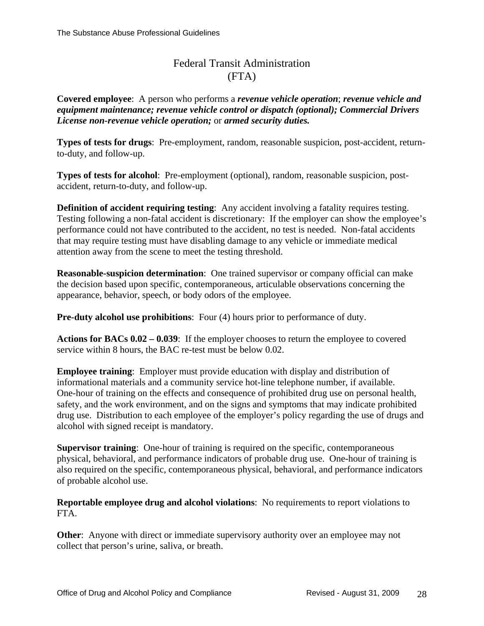# Federal Transit Administration (FTA)

#### **Covered employee**: A person who performs a *revenue vehicle operation*; *revenue vehicle and equipment maintenance; revenue vehicle control or dispatch (optional); Commercial Drivers License non-revenue vehicle operation;* or *armed security duties.*

**Types of tests for drugs**: Pre-employment, random, reasonable suspicion, post-accident, returnto-duty, and follow-up.

**Types of tests for alcohol**: Pre-employment (optional), random, reasonable suspicion, postaccident, return-to-duty, and follow-up.

**Definition of accident requiring testing**: Any accident involving a fatality requires testing. Testing following a non-fatal accident is discretionary: If the employer can show the employee's performance could not have contributed to the accident, no test is needed. Non-fatal accidents that may require testing must have disabling damage to any vehicle or immediate medical attention away from the scene to meet the testing threshold.

**Reasonable-suspicion determination**: One trained supervisor or company official can make the decision based upon specific, contemporaneous, articulable observations concerning the appearance, behavior, speech, or body odors of the employee.

**Pre-duty alcohol use prohibitions**: Four (4) hours prior to performance of duty.

**Actions for BACs 0.02 – 0.039**: If the employer chooses to return the employee to covered service within 8 hours, the BAC re-test must be below 0.02.

**Employee training**: Employer must provide education with display and distribution of informational materials and a community service hot-line telephone number, if available. One-hour of training on the effects and consequence of prohibited drug use on personal health, safety, and the work environment, and on the signs and symptoms that may indicate prohibited drug use. Distribution to each employee of the employer's policy regarding the use of drugs and alcohol with signed receipt is mandatory.

**Supervisor training**: One-hour of training is required on the specific, contemporaneous physical, behavioral, and performance indicators of probable drug use. One-hour of training is also required on the specific, contemporaneous physical, behavioral, and performance indicators of probable alcohol use.

**Reportable employee drug and alcohol violations**: No requirements to report violations to FTA.

**Other:** Anyone with direct or immediate supervisory authority over an employee may not collect that person's urine, saliva, or breath.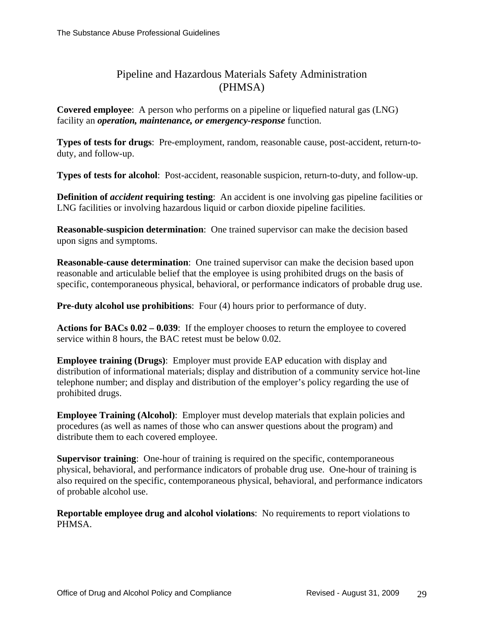#### Pipeline and Hazardous Materials Safety Administration (PHMSA)

**Covered employee**: A person who performs on a pipeline or liquefied natural gas (LNG) facility an *operation, maintenance, or emergency-response* function.

**Types of tests for drugs**: Pre-employment, random, reasonable cause, post-accident, return-toduty, and follow-up.

**Types of tests for alcohol**: Post-accident, reasonable suspicion, return-to-duty, and follow-up.

**Definition of** *accident* requiring testing: An accident is one involving gas pipeline facilities or LNG facilities or involving hazardous liquid or carbon dioxide pipeline facilities.

**Reasonable-suspicion determination**: One trained supervisor can make the decision based upon signs and symptoms.

**Reasonable-cause determination**: One trained supervisor can make the decision based upon reasonable and articulable belief that the employee is using prohibited drugs on the basis of specific, contemporaneous physical, behavioral, or performance indicators of probable drug use.

**Pre-duty alcohol use prohibitions**: Four (4) hours prior to performance of duty.

**Actions for BACs 0.02 – 0.039**: If the employer chooses to return the employee to covered service within 8 hours, the BAC retest must be below 0.02.

**Employee training (Drugs)**: Employer must provide EAP education with display and distribution of informational materials; display and distribution of a community service hot-line telephone number; and display and distribution of the employer's policy regarding the use of prohibited drugs.

**Employee Training (Alcohol):** Employer must develop materials that explain policies and procedures (as well as names of those who can answer questions about the program) and distribute them to each covered employee.

**Supervisor training**: One-hour of training is required on the specific, contemporaneous physical, behavioral, and performance indicators of probable drug use. One-hour of training is also required on the specific, contemporaneous physical, behavioral, and performance indicators of probable alcohol use.

**Reportable employee drug and alcohol violations**: No requirements to report violations to PHMSA.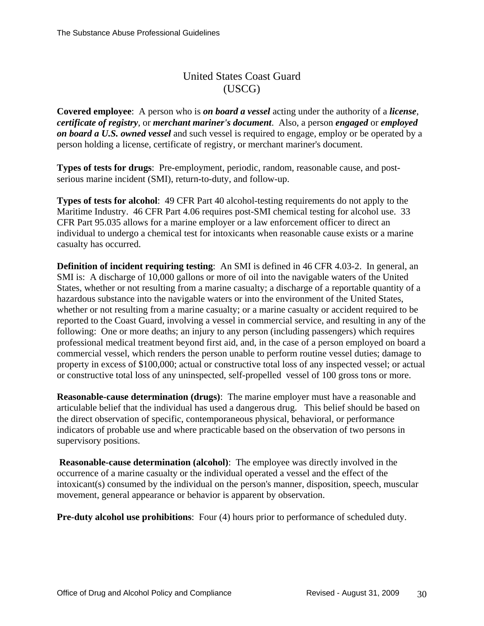#### United States Coast Guard (USCG)

**Covered employee**: A person who is *on board a vessel* acting under the authority of a *license*, *certificate of registry*, or *merchant mariner's document*. Also, a person *engaged* or *employed on board a U.S. owned vessel* and such vessel is required to engage, employ or be operated by a person holding a license, certificate of registry, or merchant mariner's document.

**Types of tests for drugs**: Pre-employment, periodic, random, reasonable cause, and postserious marine incident (SMI), return-to-duty, and follow-up.

**Types of tests for alcohol**: 49 CFR Part 40 alcohol-testing requirements do not apply to the Maritime Industry. 46 CFR Part 4.06 requires post-SMI chemical testing for alcohol use. 33 CFR Part 95.035 allows for a marine employer or a law enforcement officer to direct an individual to undergo a chemical test for intoxicants when reasonable cause exists or a marine casualty has occurred.

**Definition of incident requiring testing**: An SMI is defined in 46 CFR 4.03-2. In general, an SMI is: A discharge of 10,000 gallons or more of oil into the navigable waters of the United States, whether or not resulting from a marine casualty; a discharge of a reportable quantity of a hazardous substance into the navigable waters or into the environment of the United States, whether or not resulting from a marine casualty; or a marine casualty or accident required to be reported to the Coast Guard, involving a vessel in commercial service, and resulting in any of the following: One or more deaths; an injury to any person (including passengers) which requires professional medical treatment beyond first aid, and, in the case of a person employed on board a commercial vessel, which renders the person unable to perform routine vessel duties; damage to property in excess of \$100,000; actual or constructive total loss of any inspected vessel; or actual or constructive total loss of any uninspected, self-propelled vessel of 100 gross tons or more.

**Reasonable-cause determination (drugs)**: The marine employer must have a reasonable and articulable belief that the individual has used a dangerous drug. This belief should be based on the direct observation of specific, contemporaneous physical, behavioral, or performance indicators of probable use and where practicable based on the observation of two persons in supervisory positions.

**Reasonable-cause determination (alcohol)**: The employee was directly involved in the occurrence of a marine casualty or the individual operated a vessel and the effect of the intoxicant(s) consumed by the individual on the person's manner, disposition, speech, muscular movement, general appearance or behavior is apparent by observation.

**Pre-duty alcohol use prohibitions**: Four (4) hours prior to performance of scheduled duty.